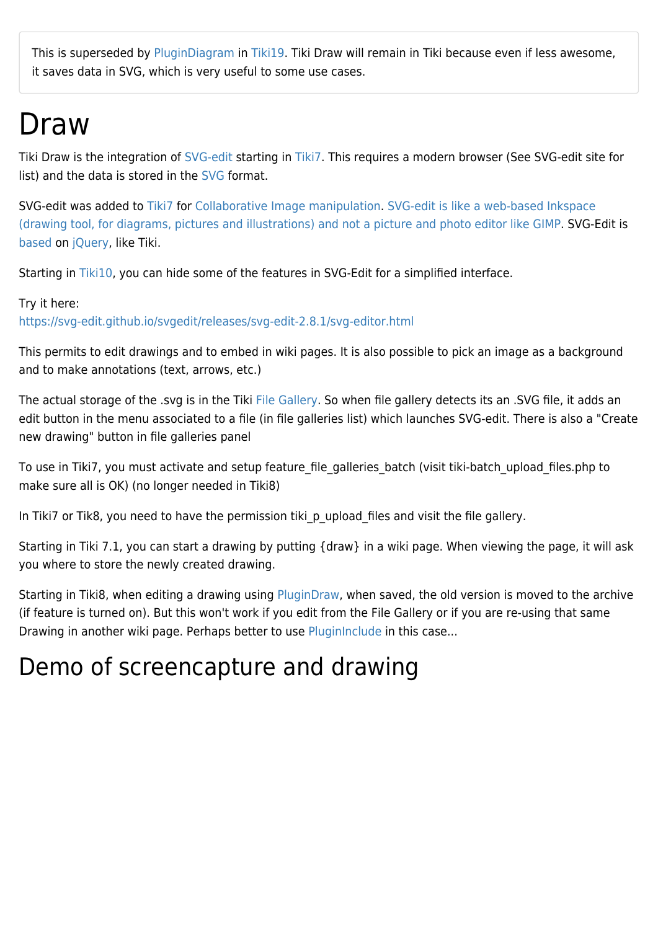This is superseded by [PluginDiagram](https://doc.tiki.org/PluginDiagram) in [Tiki19](https://doc.tiki.org/Tiki19). Tiki Draw will remain in Tiki because even if less awesome, it saves data in SVG, which is very useful to some use cases.

## Draw

Tiki Draw is the integration of [SVG-edit](https://github.com/SVG-Edit/svgedit) starting in [Tiki7.](https://doc.tiki.org/Tiki7) This requires a modern browser (See SVG-edit site for list) and the data is stored in the [SVG](https://doc.tiki.org/SVG) format.

SVG-edit was added to [Tiki7](https://doc.tiki.org/Tiki7) for [Collaborative Image manipulation.](http://dev.tiki.org/Collaborative%20Image%20manipulation) [SVG-edit is like a web-based Inkspace](http://it.toolbox.com/blogs/minimalit/inkscape-and-the-gimp-16678) [\(drawing tool, for diagrams, pictures and illustrations\) and not a picture and photo editor like GIMP](http://it.toolbox.com/blogs/minimalit/inkscape-and-the-gimp-16678). SVG-Edit is [based](http://code.google.com/p/svg-edit/wiki/Acknowledgements) on [jQuery](https://doc.tiki.org/jQuery), like Tiki.

Starting in [Tiki10,](https://doc.tiki.org/Tiki10) you can hide some of the features in SVG-Edit for a simplified interface.

#### Try it here:

<https://svg-edit.github.io/svgedit/releases/svg-edit-2.8.1/svg-editor.html>

This permits to edit drawings and to embed in wiki pages. It is also possible to pick an image as a background and to make annotations (text, arrows, etc.)

The actual storage of the .svg is in the Tiki [File Gallery](https://doc.tiki.org/File-Gallery). So when file gallery detects its an .SVG file, it adds an edit button in the menu associated to a file (in file galleries list) which launches SVG-edit. There is also a "Create new drawing" button in file galleries panel

To use in Tiki7, you must activate and setup feature file galleries batch (visit tiki-batch upload files.php to make sure all is OK) (no longer needed in Tiki8)

In Tiki7 or Tik8, you need to have the permission tiki p upload files and visit the file gallery.

Starting in Tiki 7.1, you can start a drawing by putting {draw} in a wiki page. When viewing the page, it will ask you where to store the newly created drawing.

Starting in Tiki8, when editing a drawing using [PluginDraw](https://doc.tiki.org/PluginDraw), when saved, the old version is moved to the archive (if feature is turned on). But this won't work if you edit from the File Gallery or if you are re-using that same Drawing in another wiki page. Perhaps better to use [PluginInclude](https://doc.tiki.org/PluginInclude) in this case...

### Demo of screencapture and drawing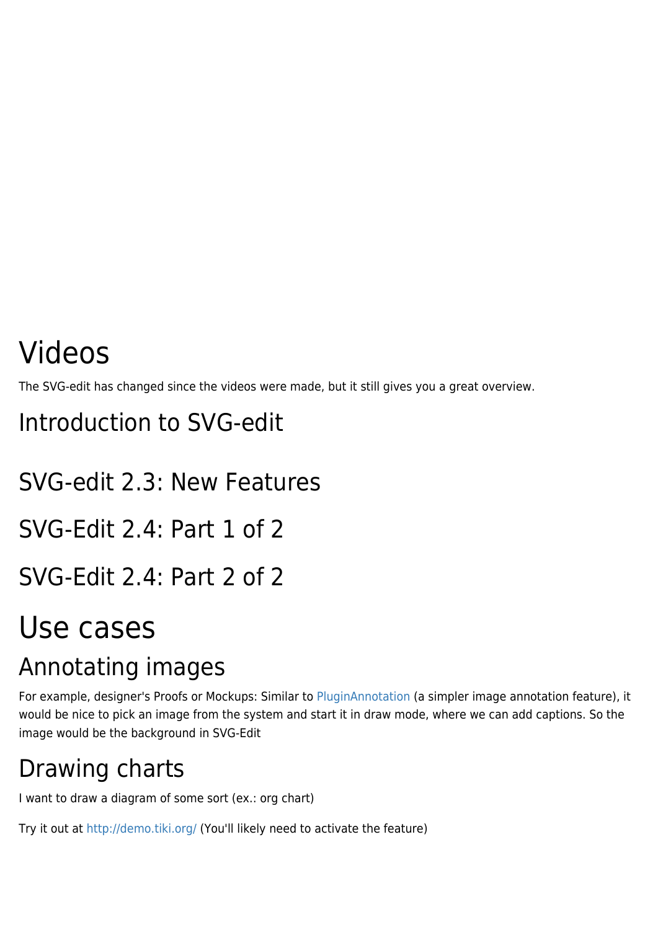# Videos

The SVG-edit has changed since the videos were made, but it still gives you a great overview.

Introduction to SVG-edit

SVG-edit 2.3: New Features SVG-Edit 2.4: Part 1 of 2

SVG-Edit 2.4: Part 2 of 2

## Use cases

### Annotating images

For example, designer's Proofs or Mockups: Similar to [PluginAnnotation](https://doc.tiki.org/PluginAnnotation) (a simpler image annotation feature), it would be nice to pick an image from the system and start it in draw mode, where we can add captions. So the image would be the background in SVG-Edit

## Drawing charts

I want to draw a diagram of some sort (ex.: org chart)

Try it out at<http://demo.tiki.org/>(You'll likely need to activate the feature)